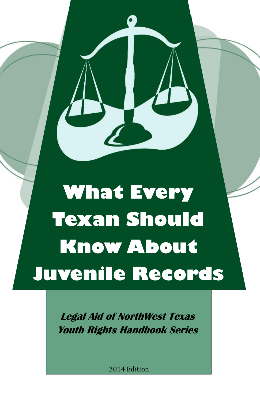# **What Every Texan Should Know About Juvenile Records**

*Legal Aid of NorthWest Texas Youth Rights Handbook Series*

2014 Edition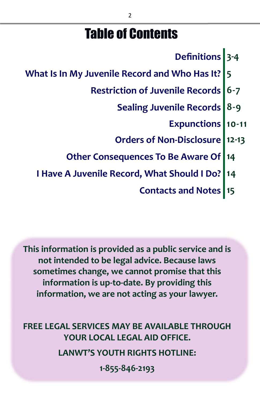# Table of Contents

- **Definitions 3-4**
- **What Is In My Juvenile Record and Who Has It? 5**
	- **Restriction of Juvenile Records 6-7**
		- **Sealing Juvenile Records 8-9**
			- **Expunctions 10-11**
		- **Orders of Non-Disclosure 12-13**
	- **Other Consequences To Be Aware Of 14**
	- **I Have A Juvenile Record, What Should I Do? 14**

**Contacts and Notes 15**

**This information is provided as a public service and is not intended to be legal advice. Because laws sometimes change, we cannot promise that this information is up-to-date. By providing this information, we are not acting as your lawyer.**

**FREE LEGAL SERVICES MAY BE AVAILABLE THROUGH YOUR LOCAL LEGAL AID OFFICE. LANWT'S YOUTH RIGHTS HOTLINE: 1-855-846-2193**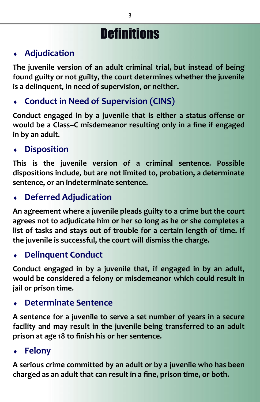# **Definitions**

#### **Adjudication**

**The juvenile version of an adult criminal trial, but instead of being found guilty or not guilty, the court determines whether the juvenile is a delinquent, in need of supervision, or neither.**

#### **Conduct in Need of Supervision (CINS)**

**Conduct engaged in by a juvenile that is either a status offense or would be a Class–C misdemeanor resulting only in a fine if engaged in by an adult.**

#### **Disposition**

**This is the juvenile version of a criminal sentence. Possible dispositions include, but are not limited to, probation, a determinate sentence, or an indeterminate sentence.**

#### **Deferred Adjudication**

**An agreement where a juvenile pleads guilty to a crime but the court agrees not to adjudicate him or her so long as he or she completes a list of tasks and stays out of trouble for a certain length of time. If the juvenile is successful, the court will dismiss the charge.**

#### **Delinquent Conduct**

**Conduct engaged in by a juvenile that, if engaged in by an adult, would be considered a felony or misdemeanor which could result in jail or prison time.**

#### **Determinate Sentence**

**A sentence for a juvenile to serve a set number of years in a secure facility and may result in the juvenile being transferred to an adult prison at age 18 to finish his or her sentence.**

#### **Felony**

**A serious crime committed by an adult or by a juvenile who has been charged as an adult that can result in a fine, prison time, or both.**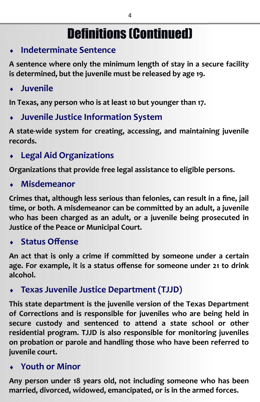# Definitions (Continued)

#### **Indeterminate Sentence**

**A sentence where only the minimum length of stay in a secure facility is determined, but the juvenile must be released by age 19.**

**Juvenile**

**In Texas, any person who is at least 10 but younger than 17.**

**Juvenile Justice Information System**

**A state-wide system for creating, accessing, and maintaining juvenile records.**

**Legal Aid Organizations**

**Organizations that provide free legal assistance to eligible persons.**

**Misdemeanor**

**Crimes that, although less serious than felonies, can result in a fine, jail time, or both. A misdemeanor can be committed by an adult, a juvenile who has been charged as an adult, or a juvenile being prosecuted in Justice of the Peace or Municipal Court.**

**Status Offense**

**An act that is only a crime if committed by someone under a certain age. For example, it is a status offense for someone under 21 to drink alcohol.**

**Texas Juvenile Justice Department (TJJD)**

**This state department is the juvenile version of the Texas Department of Corrections and is responsible for juveniles who are being held in secure custody and sentenced to attend a state school or other residential program. TJJD is also responsible for monitoring juveniles on probation or parole and handling those who have been referred to juvenile court.**

**Youth or Minor**

**Any person under 18 years old, not including someone who has been married, divorced, widowed, emancipated, or is in the armed forces.**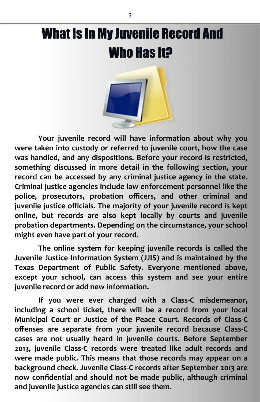# What Is In My Juvenile Record And Who Has It?



**Your juvenile record will have information about why you were taken into custody or referred to juvenile court, how the case was handled, and any dispositions. Before your record is restricted, something discussed in more detail in the following section, your record can be accessed by any criminal justice agency in the state. Criminal justice agencies include law enforcement personnel like the police, prosecutors, probation officers, and other criminal and juvenile justice officials. The majority of your juvenile record is kept online, but records are also kept locally by courts and juvenile probation departments. Depending on the circumstance, your school might even have part of your record.**

**The online system for keeping juvenile records is called the Juvenile Justice Information System (JJIS) and is maintained by the Texas Department of Public Safety. Everyone mentioned above, except your school, can access this system and see your entire juvenile record or add new information.**

**If you were ever charged with a Class-C misdemeanor, including a school ticket, there will be a record from your local Municipal Court or Justice of the Peace Court. Records of Class-C offenses are separate from your juvenile record because Class-C cases are not usually heard in juvenile courts. Before September 2013, juvenile Class-C records were treated like adult records and were made public. This means that those records may appear on a background check. Juvenile Class-C records after September 2013 are now confidential and should not be made public, although criminal and juvenile justice agencies can still see them.**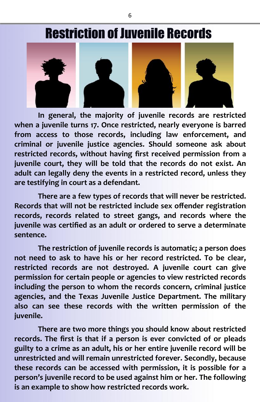# Restriction of Juvenile Records



**In general, the majority of juvenile records are restricted when a juvenile turns 17. Once restricted, nearly everyone is barred from access to those records, including law enforcement, and criminal or juvenile justice agencies. Should someone ask about restricted records, without having first received permission from a juvenile court, they will be told that the records do not exist. An adult can legally deny the events in a restricted record, unless they are testifying in court as a defendant.**

**There are a few types of records that will never be restricted. Records that will not be restricted include sex offender registration records, records related to street gangs, and records where the juvenile was certified as an adult or ordered to serve a determinate sentence.**

**The restriction of juvenile records is automatic; a person does not need to ask to have his or her record restricted. To be clear, restricted records are not destroyed. A juvenile court can give permission for certain people or agencies to view restricted records including the person to whom the records concern, criminal justice agencies, and the Texas Juvenile Justice Department. The military also can see these records with the written permission of the juvenile.**

**There are two more things you should know about restricted records. The first is that if a person is ever convicted of or pleads guilty to a crime as an adult, his or her entire juvenile record will be unrestricted and will remain unrestricted forever. Secondly, because these records can be accessed with permission, it is possible for a person's juvenile record to be used against him or her. The following is an example to show how restricted records work.**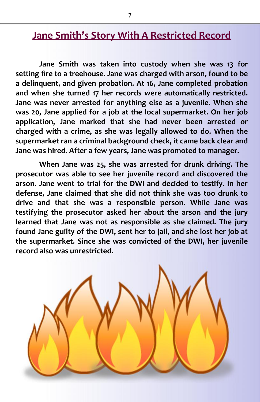#### **Jane Smith's Story With A Restricted Record**

**Jane Smith was taken into custody when she was 13 for setting fire to a treehouse. Jane was charged with arson, found to be a delinquent, and given probation. At 16, Jane completed probation and when she turned 17 her records were automatically restricted. Jane was never arrested for anything else as a juvenile. When she was 20, Jane applied for a job at the local supermarket. On her job application, Jane marked that she had never been arrested or charged with a crime, as she was legally allowed to do. When the supermarket ran a criminal background check, it came back clear and Jane was hired. After a few years, Jane was promoted to manager.**

**When Jane was 25, she was arrested for drunk driving. The prosecutor was able to see her juvenile record and discovered the arson. Jane went to trial for the DWI and decided to testify. In her defense, Jane claimed that she did not think she was too drunk to drive and that she was a responsible person. While Jane was testifying the prosecutor asked her about the arson and the jury learned that Jane was not as responsible as she claimed. The jury found Jane guilty of the DWI, sent her to jail, and she lost her job at the supermarket. Since she was convicted of the DWI, her juvenile record also was unrestricted.**

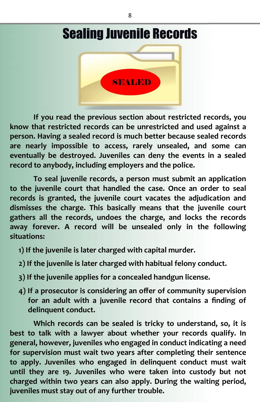



**If you read the previous section about restricted records, you know that restricted records can be unrestricted and used against a person. Having a sealed record is much better because sealed records are nearly impossible to access, rarely unsealed, and some can eventually be destroyed. Juveniles can deny the events in a sealed record to anybody, including employers and the police.**

**To seal juvenile records, a person must submit an application to the juvenile court that handled the case. Once an order to seal records is granted, the juvenile court vacates the adjudication and dismisses the charge. This basically means that the juvenile court gathers all the records, undoes the charge, and locks the records away forever. A record will be unsealed only in the following situations:**

- **1) If the juvenile is later charged with capital murder.**
- **2) If the juvenile is later charged with habitual felony conduct.**
- **3) If the juvenile applies for a concealed handgun license.**
- **4) If a prosecutor is considering an offer of community supervision for an adult with a juvenile record that contains a finding of delinquent conduct.**

**Which records can be sealed is tricky to understand, so, it is best to talk with a lawyer about whether your records qualify. In general, however, juveniles who engaged in conduct indicating a need for supervision must wait two years after completing their sentence to apply. Juveniles who engaged in delinquent conduct must wait until they are 19. Juveniles who were taken into custody but not charged within two years can also apply. During the waiting period, juveniles must stay out of any further trouble.**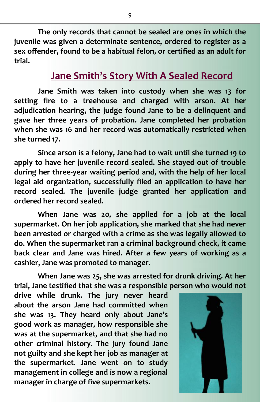**The only records that cannot be sealed are ones in which the juvenile was given a determinate sentence, ordered to register as a sex offender, found to be a habitual felon, or certified as an adult for trial.**

#### **Jane Smith's Story With A Sealed Record**

**Jane Smith was taken into custody when she was 13 for setting fire to a treehouse and charged with arson. At her adjudication hearing, the judge found Jane to be a delinquent and gave her three years of probation. Jane completed her probation when she was 16 and her record was automatically restricted when she turned 17.**

**Since arson is a felony, Jane had to wait until she turned 19 to apply to have her juvenile record sealed. She stayed out of trouble during her three-year waiting period and, with the help of her local legal aid organization, successfully filed an application to have her record sealed. The juvenile judge granted her application and ordered her record sealed.**

**When Jane was 20, she applied for a job at the local supermarket. On her job application, she marked that she had never been arrested or charged with a crime as she was legally allowed to do. When the supermarket ran a criminal background check, it came back clear and Jane was hired. After a few years of working as a cashier, Jane was promoted to manager.**

**When Jane was 25, she was arrested for drunk driving. At her trial, Jane testified that she was a responsible person who would not**

**drive while drunk. The jury never heard about the arson Jane had committed when she was 13. They heard only about Jane's good work as manager, how responsible she was at the supermarket, and that she had no other criminal history. The jury found Jane not guilty and she kept her job as manager at the supermarket. Jane went on to study management in college and is now a regional manager in charge of five supermarkets.**

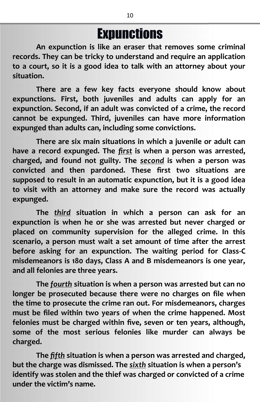# **Expunctions**

**An expunction is like an eraser that removes some criminal records. They can be tricky to understand and require an application to a court, so it is a good idea to talk with an attorney about your situation.**

**There are a few key facts everyone should know about expunctions. First, both juveniles and adults can apply for an expunction. Second, if an adult was convicted of a crime, the record cannot be expunged. Third, juveniles can have more information expunged than adults can, including some convictions.**

**There are six main situations in which a juvenile or adult can have a record expunged. The** *first* **is when a person was arrested, charged, and found not guilty. The** *second* **is when a person was convicted and then pardoned. These first two situations are supposed to result in an automatic expunction, but it is a good idea to visit with an attorney and make sure the record was actually expunged.**

**The** *third* **situation in which a person can ask for an expunction is when he or she was arrested but never charged or placed on community supervision for the alleged crime. In this scenario, a person must wait a set amount of time after the arrest before asking for an expunction. The waiting period for Class-C misdemeanors is 180 days, Class A and B misdemeanors is one year, and all felonies are three years.**

**The** *fourth* **situation is when a person was arrested but can no longer be prosecuted because there were no charges on file when the time to prosecute the crime ran out. For misdemeanors, charges must be filed within two years of when the crime happened. Most felonies must be charged within five, seven or ten years, although, some of the most serious felonies like murder can always be charged.**

**The** *fifth* **situation is when a person was arrested and charged, but the charge was dismissed. The** *sixth* **situation is when a person's identify was stolen and the thief was charged or convicted of a crime under the victim's name.**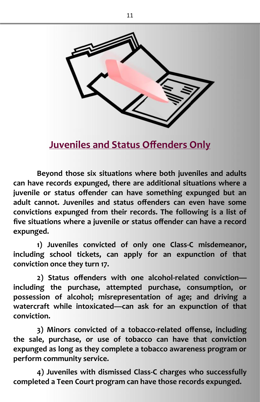

**Juveniles and Status Offenders Only**

**Beyond those six situations where both juveniles and adults can have records expunged, there are additional situations where a juvenile or status offender can have something expunged but an adult cannot. Juveniles and status offenders can even have some convictions expunged from their records. The following is a list of five situations where a juvenile or status offender can have a record expunged.**

**1) Juveniles convicted of only one Class-C misdemeanor, including school tickets, can apply for an expunction of that conviction once they turn 17.**

**2) Status offenders with one alcohol-related conviction including the purchase, attempted purchase, consumption, or possession of alcohol; misrepresentation of age; and driving a watercraft while intoxicated—can ask for an expunction of that conviction.**

**3) Minors convicted of a tobacco-related offense, including the sale, purchase, or use of tobacco can have that conviction expunged as long as they complete a tobacco awareness program or perform community service.**

**4) Juveniles with dismissed Class-C charges who successfully completed a Teen Court program can have those records expunged.**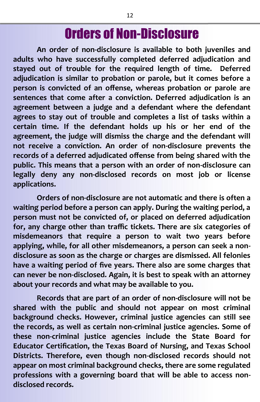## Orders of Non-Disclosure

**An order of non-disclosure is available to both juveniles and adults who have successfully completed deferred adjudication and stayed out of trouble for the required length of time. Deferred adjudication is similar to probation or parole, but it comes before a person is convicted of an offense, whereas probation or parole are sentences that come after a conviction. Deferred adjudication is an agreement between a judge and a defendant where the defendant agrees to stay out of trouble and completes a list of tasks within a certain time. If the defendant holds up his or her end of the agreement, the judge will dismiss the charge and the defendant will not receive a conviction. An order of non-disclosure prevents the records of a deferred adjudicated offense from being shared with the public. This means that a person with an order of non-disclosure can legally deny any non-disclosed records on most job or license applications.**

**Orders of non-disclosure are not automatic and there is often a waiting period before a person can apply. During the waiting period, a person must not be convicted of, or placed on deferred adjudication for, any charge other than traffic tickets. There are six categories of misdemeanors that require a person to wait two years before applying, while, for all other misdemeanors, a person can seek a non disclosure as soon as the charge or charges are dismissed. All felonies have a waiting period of five years. There also are some charges that can never be non-disclosed. Again, it is best to speak with an attorney about your records and what may be available to you.**

**Records that are part of an order of non-disclosure will not be shared with the public and should not appear on most criminal background checks. However, criminal justice agencies can still see the records, as well as certain non-criminal justice agencies. Some of these non-criminal justice agencies include the State Board for Educator Certification, the Texas Board of Nursing, and Texas School Districts. Therefore, even though non-disclosed records should not appear on most criminal background checks, there are some regulated professions with a governing board that will be able to access non disclosed records.**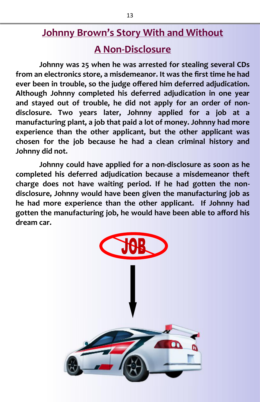#### **Johnny Brown's Story With and Without**

#### **A Non-Disclosure**

**Johnny was 25 when he was arrested for stealing several CDs from an electronics store, a misdemeanor. It was the first time he had ever been in trouble, so the judge offered him deferred adjudication. Although Johnny completed his deferred adjudication in one year and stayed out of trouble, he did not apply for an order of non disclosure. Two years later, Johnny applied for a job at a manufacturing plant, a job that paid a lot of money. Johnny had more experience than the other applicant, but the other applicant was chosen for the job because he had a clean criminal history and Johnny did not.**

**Johnny could have applied for a non-disclosure as soon as he completed his deferred adjudication because a misdemeanor theft charge does not have waiting period. If he had gotten the non disclosure, Johnny would have been given the manufacturing job as he had more experience than the other applicant. If Johnny had gotten the manufacturing job, he would have been able to afford his dream car.**

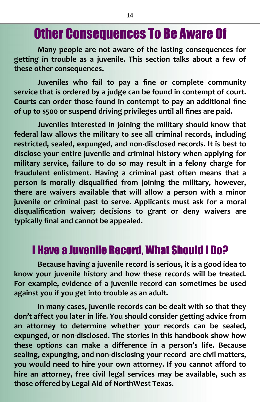## Other Consequences To Be Aware Of

**Many people are not aware of the lasting consequences for getting in trouble as a juvenile. This section talks about a few of these other consequences.**

**Juveniles who fail to pay a fine or complete community service that is ordered by a judge can be found in contempt of court. Courts can order those found in contempt to pay an additional fine of up to \$500 or suspend driving privileges until all fines are paid.**

**Juveniles interested in joining the military should know that federal law allows the military to see all criminal records, including restricted, sealed, expunged, and non-disclosed records. It is best to disclose your entire juvenile and criminal history when applying for military service, failure to do so may result in a felony charge for fraudulent enlistment. Having a criminal past often means that a person is morally disqualified from joining the military, however, there are waivers available that will allow a person with a minor juvenile or criminal past to serve. Applicants must ask for a moral disqualification waiver; decisions to grant or deny waivers are typically final and cannot be appealed.**

#### I Have a Juvenile Record, What Should I Do?

**Because having a juvenile record is serious, it is a good idea to know your juvenile history and how these records will be treated. For example, evidence of a juvenile record can sometimes be used against you if you get into trouble as an adult.**

**In many cases, juvenile records can be dealt with so that they don't affect you later in life. You should consider getting advice from an attorney to determine whether your records can be sealed, expunged, or non-disclosed. The stories in this handbook show how these options can make a difference in a person's life. Because sealing, expunging, and non-disclosing your record are civil matters, you would need to hire your own attorney. If you cannot afford to hire an attorney, free civil legal services may be available, such as those offered by Legal Aid of NorthWest Texas.**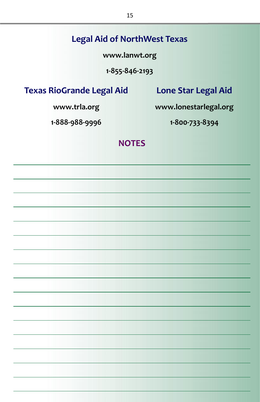#### **Legal Aid of NorthWest Texas**

**www.lanwt.org**

**1-855-846-2193**

**Texas RioGrande Legal Aid**

**Lone Star Legal Aid**

**www.trla.org**

**www.lonestarlegal.org**

**1-888-988-9996**

**1-800-733-8394**

#### **NOTES**